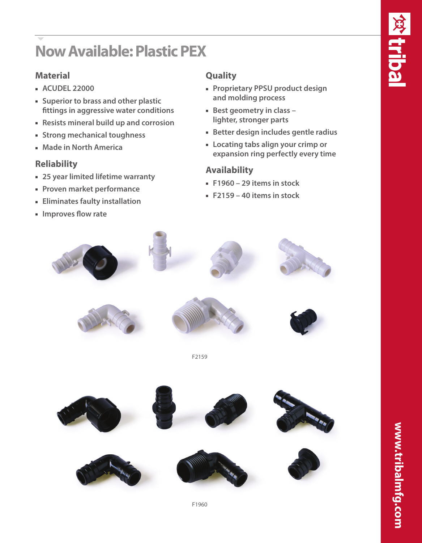# **Now Available: Plastic PEX**

### **Material**

- <sup>n</sup> **ACUDEL 22000**
- **Example 1** Superior to brass and other plastic **fittings in aggressive water conditions**
- <sup>n</sup> **Resists mineral build up and corrosion**
- **Example 1 Strong mechanical toughness**
- **E** Made in North America

#### **Reliability**

- $-$  **25 year limited lifetime warranty**
- **Proven market performance**
- **Eliminates faulty installation**
- **un** Improves flow rate

## **Quality**

- **Proprietary PPSU product design and molding process**
- **Best geometry in class lighter, stronger parts**
- **Better design includes gentle radius**
- **Example 1 Locating tabs align your crimp or expansion ring perfectly every time**

#### **Availability**

- <sup>n</sup> **F1960 29 items in stock**
- <sup>n</sup> **F2159 40 items in stock**









F2159



F1960